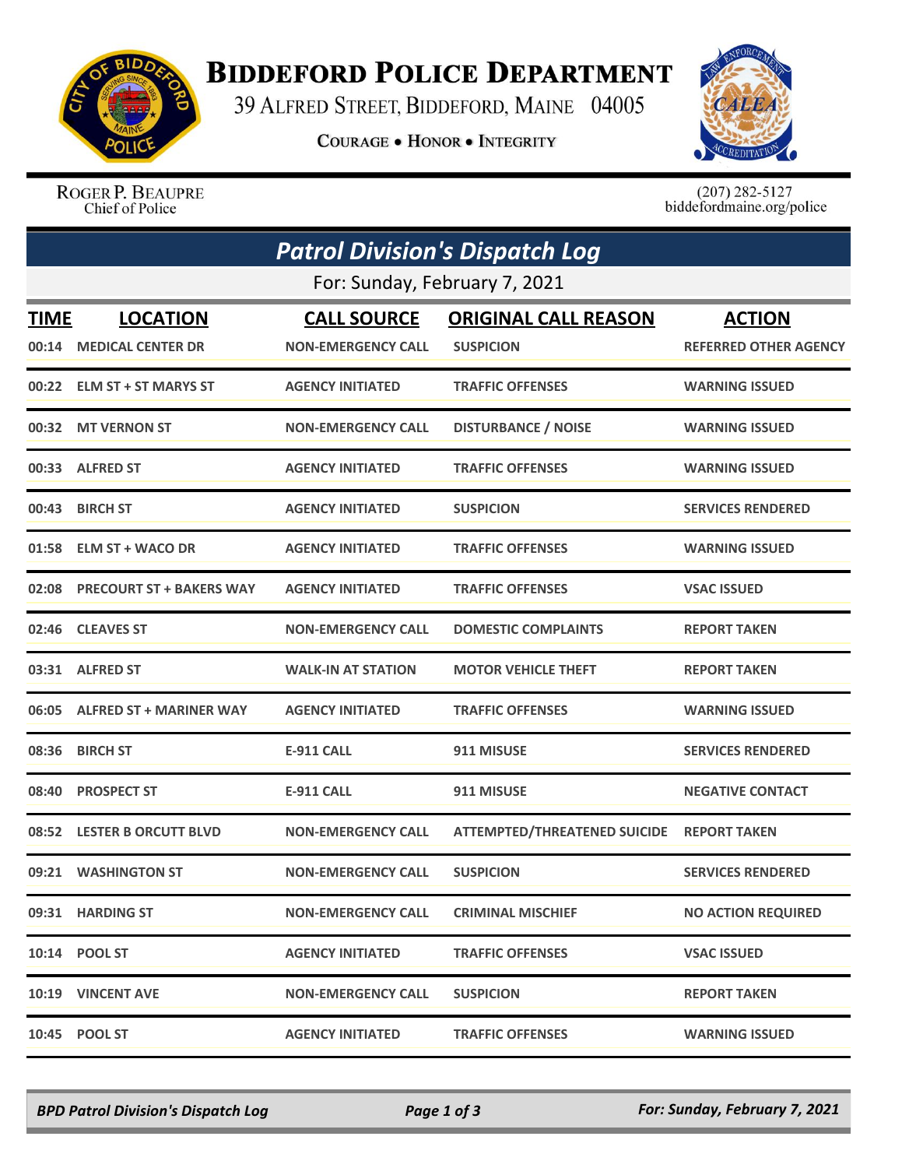

## **BIDDEFORD POLICE DEPARTMENT**

39 ALFRED STREET, BIDDEFORD, MAINE 04005

**COURAGE . HONOR . INTEGRITY** 



ROGER P. BEAUPRE Chief of Police

 $(207)$  282-5127<br>biddefordmaine.org/police

|                               | <b>Patrol Division's Dispatch Log</b> |                           |                                     |                              |  |  |  |
|-------------------------------|---------------------------------------|---------------------------|-------------------------------------|------------------------------|--|--|--|
| For: Sunday, February 7, 2021 |                                       |                           |                                     |                              |  |  |  |
| <b>TIME</b>                   | <b>LOCATION</b>                       | <b>CALL SOURCE</b>        | <b>ORIGINAL CALL REASON</b>         | <b>ACTION</b>                |  |  |  |
| 00:14                         | <b>MEDICAL CENTER DR</b>              | <b>NON-EMERGENCY CALL</b> | <b>SUSPICION</b>                    | <b>REFERRED OTHER AGENCY</b> |  |  |  |
|                               | 00:22 ELM ST + ST MARYS ST            | <b>AGENCY INITIATED</b>   | <b>TRAFFIC OFFENSES</b>             | <b>WARNING ISSUED</b>        |  |  |  |
| 00:32                         | <b>MT VERNON ST</b>                   | <b>NON-EMERGENCY CALL</b> | <b>DISTURBANCE / NOISE</b>          | <b>WARNING ISSUED</b>        |  |  |  |
|                               | 00:33 ALFRED ST                       | <b>AGENCY INITIATED</b>   | <b>TRAFFIC OFFENSES</b>             | <b>WARNING ISSUED</b>        |  |  |  |
| 00:43                         | <b>BIRCH ST</b>                       | <b>AGENCY INITIATED</b>   | <b>SUSPICION</b>                    | <b>SERVICES RENDERED</b>     |  |  |  |
| 01:58                         | <b>ELM ST + WACO DR</b>               | <b>AGENCY INITIATED</b>   | <b>TRAFFIC OFFENSES</b>             | <b>WARNING ISSUED</b>        |  |  |  |
|                               | 02:08 PRECOURT ST + BAKERS WAY        | <b>AGENCY INITIATED</b>   | <b>TRAFFIC OFFENSES</b>             | <b>VSAC ISSUED</b>           |  |  |  |
| 02:46                         | <b>CLEAVES ST</b>                     | <b>NON-EMERGENCY CALL</b> | <b>DOMESTIC COMPLAINTS</b>          | <b>REPORT TAKEN</b>          |  |  |  |
|                               | 03:31 ALFRED ST                       | <b>WALK-IN AT STATION</b> | <b>MOTOR VEHICLE THEFT</b>          | <b>REPORT TAKEN</b>          |  |  |  |
| 06:05                         | <b>ALFRED ST + MARINER WAY</b>        | <b>AGENCY INITIATED</b>   | <b>TRAFFIC OFFENSES</b>             | <b>WARNING ISSUED</b>        |  |  |  |
|                               | 08:36 BIRCH ST                        | <b>E-911 CALL</b>         | 911 MISUSE                          | <b>SERVICES RENDERED</b>     |  |  |  |
| 08:40                         | <b>PROSPECT ST</b>                    | <b>E-911 CALL</b>         | 911 MISUSE                          | <b>NEGATIVE CONTACT</b>      |  |  |  |
| 08:52                         | <b>LESTER B ORCUTT BLVD</b>           | <b>NON-EMERGENCY CALL</b> | <b>ATTEMPTED/THREATENED SUICIDE</b> | <b>REPORT TAKEN</b>          |  |  |  |
| 09:21                         | <b>WASHINGTON ST</b>                  | <b>NON-EMERGENCY CALL</b> | <b>SUSPICION</b>                    | <b>SERVICES RENDERED</b>     |  |  |  |
|                               | 09:31 HARDING ST                      | <b>NON-EMERGENCY CALL</b> | <b>CRIMINAL MISCHIEF</b>            | <b>NO ACTION REQUIRED</b>    |  |  |  |
|                               | 10:14 POOL ST                         | <b>AGENCY INITIATED</b>   | <b>TRAFFIC OFFENSES</b>             | <b>VSAC ISSUED</b>           |  |  |  |
|                               | 10:19 VINCENT AVE                     | <b>NON-EMERGENCY CALL</b> | <b>SUSPICION</b>                    | <b>REPORT TAKEN</b>          |  |  |  |
|                               | 10:45 POOL ST                         | <b>AGENCY INITIATED</b>   | <b>TRAFFIC OFFENSES</b>             | <b>WARNING ISSUED</b>        |  |  |  |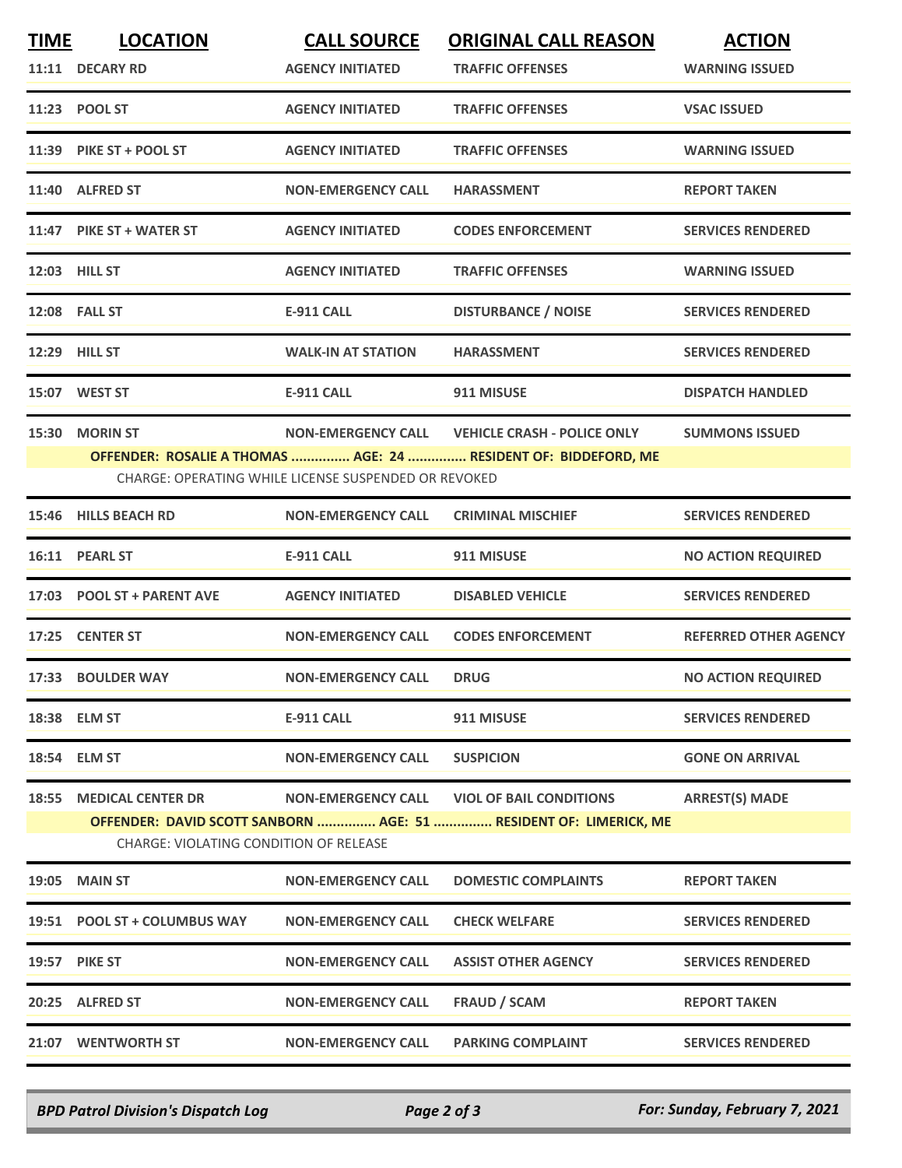| <b>TIME</b> | <b>LOCATION</b>                               | <b>CALL SOURCE</b>                                   | <b>ORIGINAL CALL REASON</b>                                       | <b>ACTION</b>                |
|-------------|-----------------------------------------------|------------------------------------------------------|-------------------------------------------------------------------|------------------------------|
|             | 11:11 DECARY RD                               | <b>AGENCY INITIATED</b>                              | <b>TRAFFIC OFFENSES</b>                                           | <b>WARNING ISSUED</b>        |
|             | 11:23 POOL ST                                 | <b>AGENCY INITIATED</b>                              | <b>TRAFFIC OFFENSES</b>                                           | <b>VSAC ISSUED</b>           |
|             | 11:39 PIKE ST + POOL ST                       | <b>AGENCY INITIATED</b>                              | <b>TRAFFIC OFFENSES</b>                                           | <b>WARNING ISSUED</b>        |
| 11:40       | <b>ALFRED ST</b>                              | <b>NON-EMERGENCY CALL</b>                            | <b>HARASSMENT</b>                                                 | <b>REPORT TAKEN</b>          |
|             | 11:47 PIKE ST + WATER ST                      | <b>AGENCY INITIATED</b>                              | <b>CODES ENFORCEMENT</b>                                          | <b>SERVICES RENDERED</b>     |
|             | 12:03 HILL ST                                 | <b>AGENCY INITIATED</b>                              | <b>TRAFFIC OFFENSES</b>                                           | <b>WARNING ISSUED</b>        |
|             | 12:08 FALL ST                                 | <b>E-911 CALL</b>                                    | <b>DISTURBANCE / NOISE</b>                                        | <b>SERVICES RENDERED</b>     |
|             | <b>12:29 HILL ST</b>                          | <b>WALK-IN AT STATION</b>                            | <b>HARASSMENT</b>                                                 | <b>SERVICES RENDERED</b>     |
|             | 15:07 WEST ST                                 | <b>E-911 CALL</b>                                    | 911 MISUSE                                                        | <b>DISPATCH HANDLED</b>      |
| 15:30       | <b>MORIN ST</b>                               | <b>NON-EMERGENCY CALL</b>                            | <b>VEHICLE CRASH - POLICE ONLY</b>                                | <b>SUMMONS ISSUED</b>        |
|             |                                               | CHARGE: OPERATING WHILE LICENSE SUSPENDED OR REVOKED | OFFENDER: ROSALIE A THOMAS  AGE: 24  RESIDENT OF: BIDDEFORD, ME   |                              |
|             | 15:46 HILLS BEACH RD                          | <b>NON-EMERGENCY CALL</b>                            | <b>CRIMINAL MISCHIEF</b>                                          | <b>SERVICES RENDERED</b>     |
|             | 16:11 PEARL ST                                | <b>E-911 CALL</b>                                    | 911 MISUSE                                                        | <b>NO ACTION REQUIRED</b>    |
|             | 17:03 POOL ST + PARENT AVE                    | <b>AGENCY INITIATED</b>                              | <b>DISABLED VEHICLE</b>                                           | <b>SERVICES RENDERED</b>     |
|             | 17:25 CENTER ST                               | <b>NON-EMERGENCY CALL</b>                            | <b>CODES ENFORCEMENT</b>                                          | <b>REFERRED OTHER AGENCY</b> |
|             | 17:33 BOULDER WAY                             | <b>NON-EMERGENCY CALL</b>                            | <b>DRUG</b>                                                       | <b>NO ACTION REQUIRED</b>    |
|             | 18:38 ELM ST                                  | <b>E-911 CALL</b>                                    | 911 MISUSE                                                        | <b>SERVICES RENDERED</b>     |
|             | 18:54 ELM ST                                  | <b>NON-EMERGENCY CALL</b>                            | <b>SUSPICION</b>                                                  | <b>GONE ON ARRIVAL</b>       |
|             | <b>18:55 MEDICAL CENTER DR</b>                | <b>NON-EMERGENCY CALL</b>                            | <b>VIOL OF BAIL CONDITIONS</b>                                    | <b>ARREST(S) MADE</b>        |
|             | <b>CHARGE: VIOLATING CONDITION OF RELEASE</b> |                                                      | OFFENDER: DAVID SCOTT SANBORN  AGE: 51  RESIDENT OF: LIMERICK, ME |                              |
|             | <b>19:05 MAIN ST</b>                          | <b>NON-EMERGENCY CALL</b>                            | <b>DOMESTIC COMPLAINTS</b>                                        | <b>REPORT TAKEN</b>          |
|             | 19:51 POOL ST + COLUMBUS WAY                  | <b>NON-EMERGENCY CALL</b>                            | <b>CHECK WELFARE</b>                                              | <b>SERVICES RENDERED</b>     |
|             | <b>19:57 PIKE ST</b>                          | <b>NON-EMERGENCY CALL</b>                            | <b>ASSIST OTHER AGENCY</b>                                        | <b>SERVICES RENDERED</b>     |
|             | 20:25 ALFRED ST                               | <b>NON-EMERGENCY CALL</b>                            | <b>FRAUD / SCAM</b>                                               | <b>REPORT TAKEN</b>          |
|             | 21:07 WENTWORTH ST                            | <b>NON-EMERGENCY CALL</b>                            | <b>PARKING COMPLAINT</b>                                          | <b>SERVICES RENDERED</b>     |
|             |                                               |                                                      |                                                                   |                              |

*BPD Patrol Division's Dispatch Log Page 2 of 3 For: Sunday, February 7, 2021*